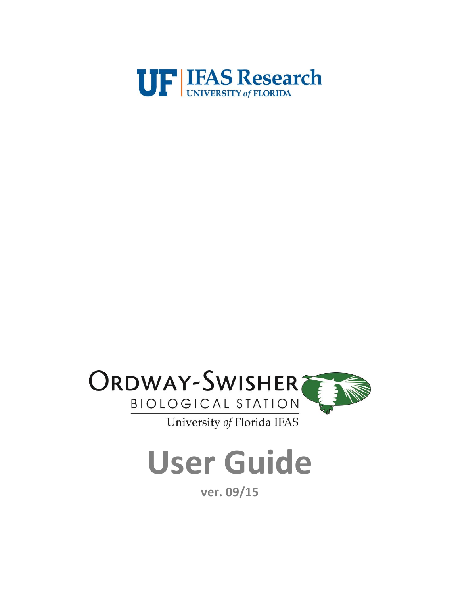



**User Guide**

**ver. 09/15**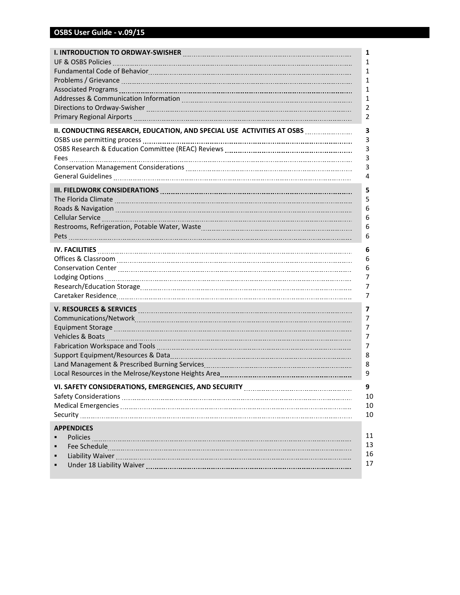|                                                                                                                                                                                                                                                          | 1                        |
|----------------------------------------------------------------------------------------------------------------------------------------------------------------------------------------------------------------------------------------------------------|--------------------------|
| UF & OSBS Policies Manual Communication Communication Communication Communication Communication                                                                                                                                                          | 1                        |
|                                                                                                                                                                                                                                                          | 1                        |
|                                                                                                                                                                                                                                                          | 1                        |
|                                                                                                                                                                                                                                                          | 1                        |
| Addresses & Communication Information [11] Addresses & Communication Information Information Information Information                                                                                                                                     | 1                        |
|                                                                                                                                                                                                                                                          | 2                        |
|                                                                                                                                                                                                                                                          | 2                        |
| II. CONDUCTING RESEARCH, EDUCATION, AND SPECIAL USE ACTIVITIES AT OSBS MARKET AND ALLOWING RESEARCH, EDUCATION, AND SPECIAL USE AT OSBS MARKET AND AN ASSESSMENT AND RESEARCH,                                                                           | 3                        |
|                                                                                                                                                                                                                                                          | 3                        |
|                                                                                                                                                                                                                                                          | 3                        |
|                                                                                                                                                                                                                                                          | 3                        |
|                                                                                                                                                                                                                                                          | 3                        |
|                                                                                                                                                                                                                                                          | 4                        |
|                                                                                                                                                                                                                                                          | 5                        |
|                                                                                                                                                                                                                                                          | 5                        |
|                                                                                                                                                                                                                                                          | 6                        |
|                                                                                                                                                                                                                                                          | 6                        |
|                                                                                                                                                                                                                                                          | 6                        |
|                                                                                                                                                                                                                                                          | 6                        |
|                                                                                                                                                                                                                                                          | 6                        |
|                                                                                                                                                                                                                                                          | 6                        |
|                                                                                                                                                                                                                                                          | 6                        |
|                                                                                                                                                                                                                                                          | 7                        |
|                                                                                                                                                                                                                                                          | 7                        |
|                                                                                                                                                                                                                                                          | 7                        |
|                                                                                                                                                                                                                                                          | $\overline{\phantom{a}}$ |
|                                                                                                                                                                                                                                                          | 7                        |
|                                                                                                                                                                                                                                                          | 7                        |
|                                                                                                                                                                                                                                                          | 7                        |
|                                                                                                                                                                                                                                                          | $\overline{7}$           |
|                                                                                                                                                                                                                                                          | 8                        |
|                                                                                                                                                                                                                                                          | 8                        |
|                                                                                                                                                                                                                                                          | 9                        |
|                                                                                                                                                                                                                                                          | 9                        |
| Safety Considerations [111] Marshall Safety Considerations [11] Marshall Safety Considerations [11] Marshall S                                                                                                                                           | 10                       |
|                                                                                                                                                                                                                                                          | 10                       |
|                                                                                                                                                                                                                                                          | 10                       |
| <b>APPENDICES</b><br>Policies <b>Constituents</b> and the construction of the construction of the construction of the construction of the construction of the construction of the construction of the construction of the construction of the constructi | 11<br>13<br>16<br>17     |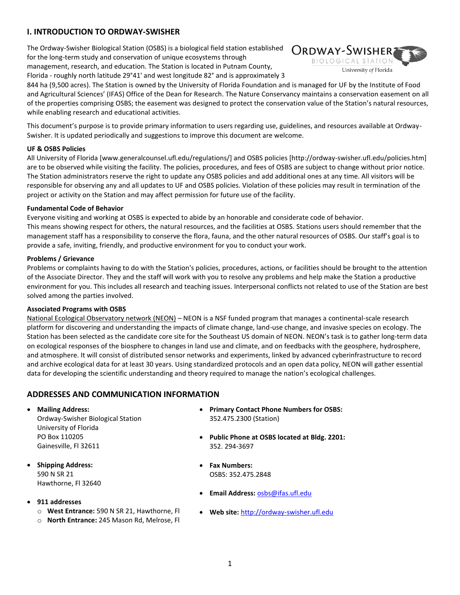# **I. INTRODUCTION TO ORDWAY-SWISHER**

The Ordway-Swisher Biological Station (OSBS) is a biological field station established for the long-term study and conservation of unique ecosystems through management, research, and education. The Station is located in Putnam County,



Florida - roughly north latitude 29°41' and west longitude 82° and is approximately 3 844 ha (9,500 acres). The Station is owned by the University of Florida Foundation and is managed for UF by the Institute of Food

and Agricultural Sciences' (IFAS) Office of the Dean for Research. The Nature Conservancy maintains a conservation easement on all of the properties comprising OSBS; the easement was designed to protect the conservation value of the Station's natural resources, while enabling research and educational activities.

This document's purpose is to provide primary information to users regarding use, guidelines, and resources available at Ordway-Swisher. It is updated periodically and suggestions to improve this document are welcome.

### **UF & OSBS Policies**

All University of Florida [www.generalcounsel.ufl.edu/regulations/] and OSBS policies [http://ordway-swisher.ufl.edu/policies.htm] are to be observed while visiting the facility. The policies, procedures, and fees of OSBS are subject to change without prior notice. The Station administrators reserve the right to update any OSBS policies and add additional ones at any time. All visitors will be responsible for observing any and all updates to UF and OSBS policies. Violation of these policies may result in termination of the project or activity on the Station and may affect permission for future use of the facility.

### **Fundamental Code of Behavior**

Everyone visiting and working at OSBS is expected to abide by an honorable and considerate code of behavior. This means showing respect for others, the natural resources, and the facilities at OSBS. Stations users should remember that the management staff has a responsibility to conserve the flora, fauna, and the other natural resources of OSBS. Our staff's goal is to provide a safe, inviting, friendly, and productive environment for you to conduct your work.

### **Problems / Grievance**

Problems or complaints having to do with the Station's policies, procedures, actions, or facilities should be brought to the attention of the Associate Director. They and the staff will work with you to resolve any problems and help make the Station a productive environment for you. This includes all research and teaching issues. Interpersonal conflicts not related to use of the Station are best solved among the parties involved.

#### **Associated Programs with OSBS**

National Ecological Observatory network (NEON) – NEON is a NSF funded program that manages a continental-scale research platform for discovering and understanding the impacts of climate change, land-use change, and invasive species on ecology. The Station has been selected as the candidate core site for the Southeast US domain of NEON. NEON's task is to gather long-term data on ecological responses of the biosphere to changes in land use and climate, and on feedbacks with the geosphere, hydrosphere, and atmosphere. It will consist of distributed sensor networks and experiments, linked by advanced cyberinfrastructure to record and archive ecological data for at least 30 years. Using standardized protocols and an open data policy, NEON will gather essential data for developing the scientific understanding and theory required to manage the nation's ecological challenges.

# **ADDRESSES AND COMMUNICATION INFORMATION**

- **Mailing Address:**
	- Ordway-Swisher Biological Station University of Florida PO Box 110205 Gainesville, Fl 32611
- **Shipping Address:** 590 N SR 21 Hawthorne, Fl 32640
- **911 addresses**
	- o **West Entrance:** 590 N SR 21, Hawthorne, Fl
	- o **North Entrance:** 245 Mason Rd, Melrose, Fl
- **Primary Contact Phone Numbers for OSBS:** 352.475.2300 (Station)
- **Public Phone at OSBS located at Bldg. 2201:** 352. 294-3697
- **Fax Numbers:** OSBS: 352.475.2848
- **Email Address:** [osbs@ifas.ufl.edu](mailto:osbs@ifas.ufl.edu)
- **Web site:** [http://ordway-swisher.ufl.edu](http://ordway-swisher.ufl.edu/)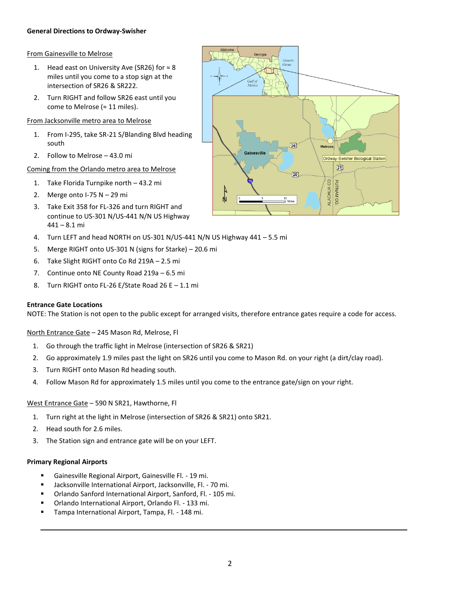# **General Directions to Ordway-Swisher**

# From Gainesville to Melrose

- 1. Head east on University Ave (SR26) for  $\approx 8$ miles until you come to a stop sign at the intersection of SR26 & SR222.
- 2. Turn RIGHT and follow SR26 east until you come to Melrose (≈ 11 miles).

# From Jacksonville metro area to Melrose

- 1. From I-295, take SR-21 S/Blanding Blvd heading south
- 2. Follow to Melrose 43.0 mi

# Coming from the Orlando metro area to Melrose

- 1. Take Florida Turnpike north 43.2 mi
- 2. Merge onto  $1-75$  N  $-$  29 mi
- 3. Take Exit 358 for FL-326 and turn RIGHT and continue to US-301 N/US-441 N/N US Highway 441 – 8.1 mi
- 4. Turn LEFT and head NORTH on US-301 N/US-441 N/N US Highway 441 5.5 mi
- 5. Merge RIGHT onto US-301 N (signs for Starke) 20.6 mi
- 6. Take Slight RIGHT onto Co Rd 219A 2.5 mi
- 7. Continue onto NE County Road 219a 6.5 mi
- 8. Turn RIGHT onto FL-26 E/State Road 26 E 1.1 mi

# **Entrance Gate Locations**

NOTE: The Station is not open to the public except for arranged visits, therefore entrance gates require a code for access.

North Entrance Gate – 245 Mason Rd, Melrose, Fl

- 1. Go through the traffic light in Melrose (intersection of SR26 & SR21)
- 2. Go approximately 1.9 miles past the light on SR26 until you come to Mason Rd. on your right (a dirt/clay road).
- 3. Turn RIGHT onto Mason Rd heading south.
- 4. Follow Mason Rd for approximately 1.5 miles until you come to the entrance gate/sign on your right.

# West Entrance Gate – 590 N SR21, Hawthorne, Fl

- 1. Turn right at the light in Melrose (intersection of SR26 & SR21) onto SR21.
- 2. Head south for 2.6 miles.
- 3. The Station sign and entrance gate will be on your LEFT.

# **Primary Regional Airports**

- Gainesville Regional Airport, Gainesville Fl. 19 mi.
- Jacksonville International Airport, Jacksonville, Fl. 70 mi.
- Orlando Sanford International Airport, Sanford, Fl. 105 mi.
- Orlando International Airport, Orlando Fl. 133 mi.
- Tampa International Airport, Tampa, Fl. 148 mi.

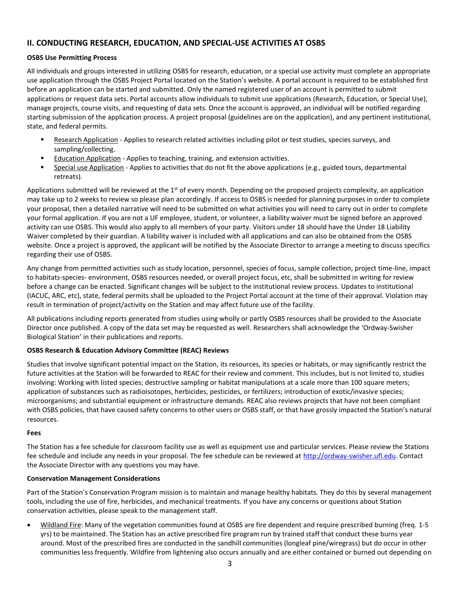# **II. CONDUCTING RESEARCH, EDUCATION, AND SPECIAL-USE ACTIVITIES AT OSBS**

# **OSBS Use Permitting Process**

All individuals and groups interested in utilizing OSBS for research, education, or a special use activity must complete an appropriate use application through the OSBS Project Portal located on the Station's website. A portal account is required to be established first before an application can be started and submitted. Only the named registered user of an account is permitted to submit applications or request data sets. Portal accounts allow individuals to submit use applications (Research, Education, or Special Use), manage projects, course visits, and requesting of data sets. Once the account is approved, an individual will be notified regarding starting submission of the application process. A project proposal (guidelines are on the application), and any pertinent institutional, state, and federal permits.

- Research Application Applies to research related activities including pilot or test studies, species surveys, and sampling/collecting.
- Education Application Applies to teaching, training, and extension activities.
- Special use Application Applies to activities that do not fit the above applications (e.g., guided tours, departmental retreats).

Applications submitted will be reviewed at the  $1<sup>st</sup>$  of every month. Depending on the proposed projects complexity, an application may take up to 2 weeks to review so please plan accordingly. If access to OSBS is needed for planning purposes in order to complete your proposal, then a detailed narrative will need to be submitted on what activities you will need to carry out in order to complete your formal application. If you are not a UF employee, student, or volunteer, a liability waiver must be signed before an approved activity can use OSBS. This would also apply to all members of your party. Visitors under 18 should have the Under 18 Liability Waiver completed by their guardian. A liability waiver is included with all applications and can also be obtained from the OSBS website. Once a project is approved, the applicant will be notified by the Associate Director to arrange a meeting to discuss specifics regarding their use of OSBS.

Any change from permitted activities such as study location, personnel, species of focus, sample collection, project time-line, impact to habitats-species- environment, OSBS resources needed, or overall project focus, etc, shall be submitted in writing for review before a change can be enacted. Significant changes will be subject to the institutional review process. Updates to institutional (IACUC, ARC, etc), state, federal permits shall be uploaded to the Project Portal account at the time of their approval. Violation may result in termination of project/activity on the Station and may affect future use of the facility.

All publications including reports generated from studies using wholly or partly OSBS resources shall be provided to the Associate Director once published. A copy of the data set may be requested as well. Researchers shall acknowledge the 'Ordway-Swisher Biological Station' in their publications and reports.

# **OSBS Research & Education Advisory Committee (REAC) Reviews**

Studies that involve significant potential impact on the Station, its resources, its species or habitats, or may significantly restrict the future activities at the Station will be forwarded to REAC for their review and comment. This includes, but is not limited to, studies involving: Working with listed species; destructive sampling or habitat manipulations at a scale more than 100 square meters; application of substances such as radioisotopes, herbicides, pesticides, or fertilizers; introduction of exotic/invasive species; microorganisms; and substantial equipment or infrastructure demands. REAC also reviews projects that have not been compliant with OSBS policies, that have caused safety concerns to other users or OSBS staff, or that have grossly impacted the Station's natural resources.

# **Fees**

The Station has a fee schedule for classroom facility use as well as equipment use and particular services. Please review the Stations fee schedule and include any needs in your proposal. The fee schedule can be reviewed at [http://ordway-swisher.ufl.edu.](http://ordway-swisher.ufl.edu/) Contact the Associate Director with any questions you may have.

# **Conservation Management Considerations**

Part of the Station's Conservation Program mission is to maintain and manage healthy habitats. They do this by several management tools, including the use of fire, herbicides, and mechanical treatments. If you have any concerns or questions about Station conservation activities, please speak to the management staff.

 Wildland Fire: Many of the vegetation communities found at OSBS are fire dependent and require prescribed burning (freq. 1-5 yrs) to be maintained. The Station has an active prescribed fire program run by trained staff that conduct these burns year around. Most of the prescribed fires are conducted in the sandhill communities (longleaf pine/wiregrass) but do occur in other communities less frequently. Wildfire from lightening also occurs annually and are either contained or burned out depending on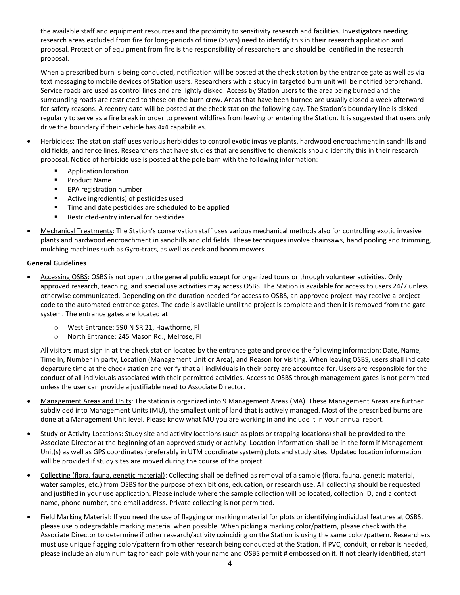the available staff and equipment resources and the proximity to sensitivity research and facilities. Investigators needing research areas excluded from fire for long-periods of time (>5yrs) need to identify this in their research application and proposal. Protection of equipment from fire is the responsibility of researchers and should be identified in the research proposal.

When a prescribed burn is being conducted, notification will be posted at the check station by the entrance gate as well as via text messaging to mobile devices of Station users. Researchers with a study in targeted burn unit will be notified beforehand. Service roads are used as control lines and are lightly disked. Access by Station users to the area being burned and the surrounding roads are restricted to those on the burn crew. Areas that have been burned are usually closed a week afterward for safety reasons. A reentry date will be posted at the check station the following day. The Station's boundary line is disked regularly to serve as a fire break in order to prevent wildfires from leaving or entering the Station. It is suggested that users only drive the boundary if their vehicle has 4x4 capabilities.

- Herbicides: The station staff uses various herbicides to control exotic invasive plants, hardwood encroachment in sandhills and old fields, and fence lines. Researchers that have studies that are sensitive to chemicals should identify this in their research proposal. Notice of herbicide use is posted at the pole barn with the following information:
	- Application location
	- **Product Name**
	- **EPA registration number**
	- Active ingredient(s) of pesticides used
	- **Time and date pesticides are scheduled to be applied**
	- **Restricted-entry interval for pesticides**
- Mechanical Treatments: The Station's conservation staff uses various mechanical methods also for controlling exotic invasive plants and hardwood encroachment in sandhills and old fields. These techniques involve chainsaws, hand pooling and trimming, mulching machines such as Gyro-tracs, as well as deck and boom mowers.

### **General Guidelines**

- Accessing OSBS: OSBS is not open to the general public except for organized tours or through volunteer activities. Only approved research, teaching, and special use activities may access OSBS. The Station is available for access to users 24/7 unless otherwise communicated. Depending on the duration needed for access to OSBS, an approved project may receive a project code to the automated entrance gates. The code is available until the project is complete and then it is removed from the gate system. The entrance gates are located at:
	- o West Entrance: 590 N SR 21, Hawthorne, Fl
	- o North Entrance: 245 Mason Rd., Melrose, Fl

All visitors must sign in at the check station located by the entrance gate and provide the following information: Date, Name, Time In, Number in party, Location (Management Unit or Area), and Reason for visiting. When leaving OSBS, users shall indicate departure time at the check station and verify that all individuals in their party are accounted for. Users are responsible for the conduct of all individuals associated with their permitted activities. Access to OSBS through management gates is not permitted unless the user can provide a justifiable need to Associate Director.

- Management Areas and Units: The station is organized into 9 Management Areas (MA). These Management Areas are further subdivided into Management Units (MU), the smallest unit of land that is actively managed. Most of the prescribed burns are done at a Management Unit level. Please know what MU you are working in and include it in your annual report.
- Study or Activity Locations: Study site and activity locations (such as plots or trapping locations) shall be provided to the Associate Director at the beginning of an approved study or activity. Location information shall be in the form if Management Unit(s) as well as GPS coordinates (preferably in UTM coordinate system) plots and study sites. Updated location information will be provided if study sites are moved during the course of the project.
- Collecting (flora, fauna, genetic material): Collecting shall be defined as removal of a sample (flora, fauna, genetic material, water samples, etc.) from OSBS for the purpose of exhibitions, education, or research use. All collecting should be requested and justified in your use application. Please include where the sample collection will be located, collection ID, and a contact name, phone number, and email address. Private collecting is not permitted.
- Field Marking Material: If you need the use of flagging or marking material for plots or identifying individual features at OSBS, please use biodegradable marking material when possible. When picking a marking color/pattern, please check with the Associate Director to determine if other research/activity coinciding on the Station is using the same color/pattern. Researchers must use unique flagging color/pattern from other research being conducted at the Station. If PVC, conduit, or rebar is needed, please include an aluminum tag for each pole with your name and OSBS permit # embossed on it. If not clearly identified, staff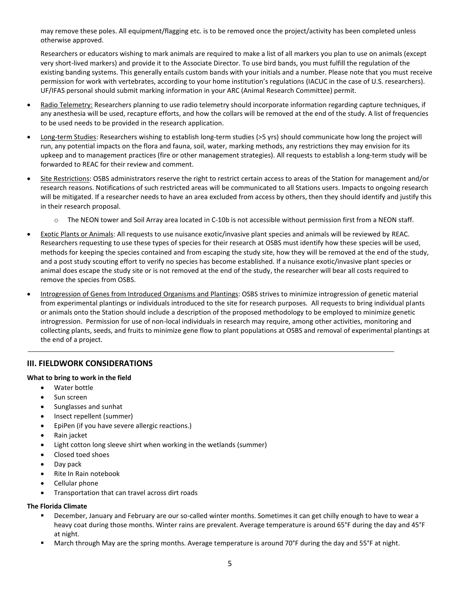may remove these poles. All equipment/flagging etc. is to be removed once the project/activity has been completed unless otherwise approved.

Researchers or educators wishing to mark animals are required to make a list of all markers you plan to use on animals (except very short-lived markers) and provide it to the Associate Director. To use bird bands, you must fulfill the regulation of the existing banding systems. This generally entails custom bands with your initials and a number. Please note that you must receive permission for work with vertebrates, according to your home institution's regulations (IACUC in the case of U.S. researchers). UF/IFAS personal should submit marking information in your ARC (Animal Research Committee) permit.

- Radio Telemetry: Researchers planning to use radio telemetry should incorporate information regarding capture techniques, if any anesthesia will be used, recapture efforts, and how the collars will be removed at the end of the study. A list of frequencies to be used needs to be provided in the research application.
- Long-term Studies: Researchers wishing to establish long-term studies (>5 yrs) should communicate how long the project will run, any potential impacts on the flora and fauna, soil, water, marking methods, any restrictions they may envision for its upkeep and to management practices (fire or other management strategies). All requests to establish a long-term study will be forwarded to REAC for their review and comment.
- Site Restrictions: OSBS administrators reserve the right to restrict certain access to areas of the Station for management and/or research reasons. Notifications of such restricted areas will be communicated to all Stations users. Impacts to ongoing research will be mitigated. If a researcher needs to have an area excluded from access by others, then they should identify and justify this in their research proposal.
	- The NEON tower and Soil Array area located in C-10b is not accessible without permission first from a NEON staff.
- Exotic Plants or Animals: All requests to use nuisance exotic/invasive plant species and animals will be reviewed by REAC. Researchers requesting to use these types of species for their research at OSBS must identify how these species will be used, methods for keeping the species contained and from escaping the study site, how they will be removed at the end of the study, and a post study scouting effort to verify no species has become established. If a nuisance exotic/invasive plant species or animal does escape the study site or is not removed at the end of the study, the researcher will bear all costs required to remove the species from OSBS.
- Introgression of Genes from Introduced Organisms and Plantings: OSBS strives to minimize introgression of genetic material from experimental plantings or individuals introduced to the site for research purposes. All requests to bring individual plants or animals onto the Station should include a description of the proposed methodology to be employed to minimize genetic introgression. Permission for use of non-local individuals in research may require, among other activities, monitoring and collecting plants, seeds, and fruits to minimize gene flow to plant populations at OSBS and removal of experimental plantings at the end of a project.

# **III. FIELDWORK CONSIDERATIONS**

# **What to bring to work in the field**

- Water bottle
- Sun screen
- Sunglasses and sunhat
- Insect repellent (summer)
- EpiPen (if you have severe allergic reactions.)
- Rain jacket
- Light cotton long sleeve shirt when working in the wetlands (summer)
- Closed toed shoes
- Day pack
- Rite In Rain notebook
- Cellular phone
- Transportation that can travel across dirt roads

# **The Florida Climate**

- December, January and February are our so-called winter months. Sometimes it can get chilly enough to have to wear a heavy coat during those months. Winter rains are prevalent. Average temperature is around 65°F during the day and 45°F at night.
- March through May are the spring months. Average temperature is around 70°F during the day and 55°F at night.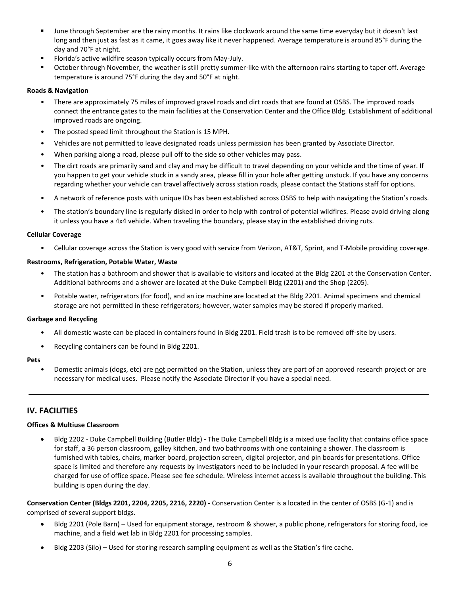- June through September are the rainy months. It rains like clockwork around the same time everyday but it doesn't last long and then just as fast as it came, it goes away like it never happened. Average temperature is around 85°F during the day and 70°F at night.
- Florida's active wildfire season typically occurs from May-July.
- October through November, the weather is still pretty summer-like with the afternoon rains starting to taper off. Average temperature is around 75°F during the day and 50°F at night.

# **Roads & Navigation**

- There are approximately 75 miles of improved gravel roads and dirt roads that are found at OSBS. The improved roads connect the entrance gates to the main facilities at the Conservation Center and the Office Bldg. Establishment of additional improved roads are ongoing.
- The posted speed limit throughout the Station is 15 MPH.
- Vehicles are not permitted to leave designated roads unless permission has been granted by Associate Director.
- When parking along a road, please pull off to the side so other vehicles may pass.
- The dirt roads are primarily sand and clay and may be difficult to travel depending on your vehicle and the time of year. If you happen to get your vehicle stuck in a sandy area, please fill in your hole after getting unstuck. If you have any concerns regarding whether your vehicle can travel affectively across station roads, please contact the Stations staff for options.
- A network of reference posts with unique IDs has been established across OSBS to help with navigating the Station's roads.
- The station's boundary line is regularly disked in order to help with control of potential wildfires. Please avoid driving along it unless you have a 4x4 vehicle. When traveling the boundary, please stay in the established driving ruts.

#### **Cellular Coverage**

• Cellular coverage across the Station is very good with service from Verizon, AT&T, Sprint, and T-Mobile providing coverage.

#### **Restrooms, Refrigeration, Potable Water, Waste**

- The station has a bathroom and shower that is available to visitors and located at the Bldg 2201 at the Conservation Center. Additional bathrooms and a shower are located at the Duke Campbell Bldg (2201) and the Shop (2205).
- Potable water, refrigerators (for food), and an ice machine are located at the Bldg 2201. Animal specimens and chemical storage are not permitted in these refrigerators; however, water samples may be stored if properly marked.

#### **Garbage and Recycling**

- All domestic waste can be placed in containers found in Bldg 2201. Field trash is to be removed off-site by users.
- Recycling containers can be found in Bldg 2201.

#### **Pets**

• Domestic animals (dogs, etc) are not permitted on the Station, unless they are part of an approved research project or are necessary for medical uses. Please notify the Associate Director if you have a special need.

# **IV. FACILITIES**

#### **Offices & Multiuse Classroom**

 Bldg 2202 - Duke Campbell Building (Butler Bldg) **-** The Duke Campbell Bldg is a mixed use facility that contains office space for staff, a 36 person classroom, galley kitchen, and two bathrooms with one containing a shower. The classroom is furnished with tables, chairs, marker board, projection screen, digital projector, and pin boards for presentations. Office space is limited and therefore any requests by investigators need to be included in your research proposal. A fee will be charged for use of office space. Please see fee schedule. Wireless internet access is available throughout the building. This building is open during the day.

**Conservation Center (Bldgs 2201, 2204, 2205, 2216, 2220) -** Conservation Center is a located in the center of OSBS (G-1) and is comprised of several support bldgs.

- Bldg 2201 (Pole Barn) Used for equipment storage, restroom & shower, a public phone, refrigerators for storing food, ice machine, and a field wet lab in Bldg 2201 for processing samples.
- Bldg 2203 (Silo) Used for storing research sampling equipment as well as the Station's fire cache.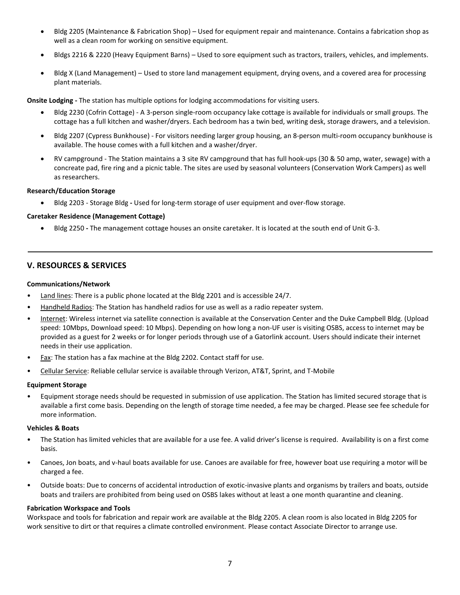- Bldg 2205 (Maintenance & Fabrication Shop) Used for equipment repair and maintenance. Contains a fabrication shop as well as a clean room for working on sensitive equipment.
- Bldgs 2216 & 2220 (Heavy Equipment Barns) Used to sore equipment such as tractors, trailers, vehicles, and implements.
- Bldg X (Land Management) Used to store land management equipment, drying ovens, and a covered area for processing plant materials.

**Onsite Lodging -** The station has multiple options for lodging accommodations for visiting users.

- Bldg 2230 (Cofrin Cottage) A 3-person single-room occupancy lake cottage is available for individuals or small groups. The cottage has a full kitchen and washer/dryers. Each bedroom has a twin bed, writing desk, storage drawers, and a television.
- Bldg 2207 (Cypress Bunkhouse) For visitors needing larger group housing, an 8-person multi-room occupancy bunkhouse is available. The house comes with a full kitchen and a washer/dryer.
- RV campground The Station maintains a 3 site RV campground that has full hook-ups (30 & 50 amp, water, sewage) with a concreate pad, fire ring and a picnic table. The sites are used by seasonal volunteers (Conservation Work Campers) as well as researchers.

### **Research/Education Storage**

Bldg 2203 - Storage Bldg **-** Used for long-term storage of user equipment and over-flow storage.

### **Caretaker Residence (Management Cottage)**

Bldg 2250 **-** The management cottage houses an onsite caretaker. It is located at the south end of Unit G-3.

# **V. RESOURCES & SERVICES**

#### **Communications/Network**

- Land lines: There is a public phone located at the Bldg 2201 and is accessible 24/7.
- Handheld Radios: The Station has handheld radios for use as well as a radio repeater system.
- Internet: Wireless internet via satellite connection is available at the Conservation Center and the Duke Campbell Bldg. (Upload speed: 10Mbps, Download speed: 10 Mbps). Depending on how long a non-UF user is visiting OSBS, access to internet may be provided as a guest for 2 weeks or for longer periods through use of a Gatorlink account. Users should indicate their internet needs in their use application.
- Fax: The station has a fax machine at the Bldg 2202. Contact staff for use.
- Cellular Service: Reliable cellular service is available through Verizon, AT&T, Sprint, and T-Mobile

#### **Equipment Storage**

• Equipment storage needs should be requested in submission of use application. The Station has limited secured storage that is available a first come basis. Depending on the length of storage time needed, a fee may be charged. Please see fee schedule for more information.

#### **Vehicles & Boats**

- The Station has limited vehicles that are available for a use fee. A valid driver's license is required. Availability is on a first come basis.
- Canoes, Jon boats, and v-haul boats available for use. Canoes are available for free, however boat use requiring a motor will be charged a fee.
- Outside boats: Due to concerns of accidental introduction of exotic-invasive plants and organisms by trailers and boats, outside boats and trailers are prohibited from being used on OSBS lakes without at least a one month quarantine and cleaning.

#### **Fabrication Workspace and Tools**

Workspace and tools for fabrication and repair work are available at the Bldg 2205. A clean room is also located in Bldg 2205 for work sensitive to dirt or that requires a climate controlled environment. Please contact Associate Director to arrange use.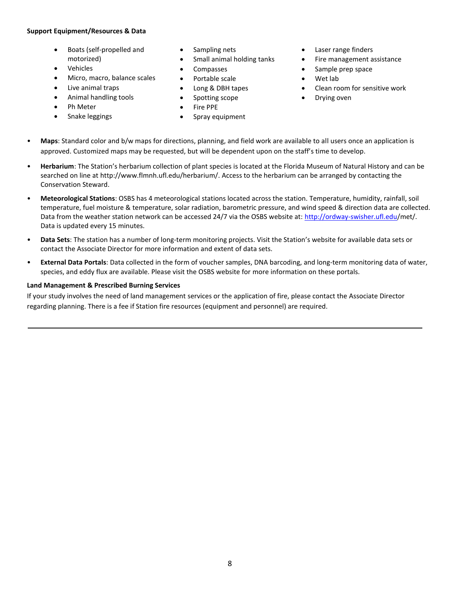# **Support Equipment/Resources & Data**

- Boats (self-propelled and motorized)
- Vehicles
- Micro, macro, balance scales
- Live animal traps
- Animal handling tools
- Ph Meter
- Snake leggings
- Sampling nets
- Small animal holding tanks
- Compasses
- Portable scale
- Long & DBH tapes
- Spotting scope
- Fire PPE
- Spray equipment
- Laser range finders
- Fire management assistance
- Sample prep space
	- Wet lab
- Clean room for sensitive work
- Drying oven
- **Maps**: Standard color and b/w maps for directions, planning, and field work are available to all users once an application is approved. Customized maps may be requested, but will be dependent upon on the staff's time to develop.
- **Herbarium**: The Station's herbarium collection of plant species is located at the Florida Museum of Natural History and can be searched on line at http://www.flmnh.ufl.edu/herbarium/. Access to the herbarium can be arranged by contacting the Conservation Steward.
- **Meteorological Stations**: OSBS has 4 meteorological stations located across the station. Temperature, humidity, rainfall, soil temperature, fuel moisture & temperature, solar radiation, barometric pressure, and wind speed & direction data are collected. Data from the weather station network can be accessed 24/7 via the OSBS website at[: http://ordway-swisher.ufl.edu/](http://ordway-swisher.ufl.edu/)met/. Data is updated every 15 minutes.
- **Data Sets**: The station has a number of long-term monitoring projects. Visit the Station's website for available data sets or contact the Associate Director for more information and extent of data sets.
- **External Data Portals**: Data collected in the form of voucher samples, DNA barcoding, and long-term monitoring data of water, species, and eddy flux are available. Please visit the OSBS website for more information on these portals.

# **Land Management & Prescribed Burning Services**

If your study involves the need of land management services or the application of fire, please contact the Associate Director regarding planning. There is a fee if Station fire resources (equipment and personnel) are required.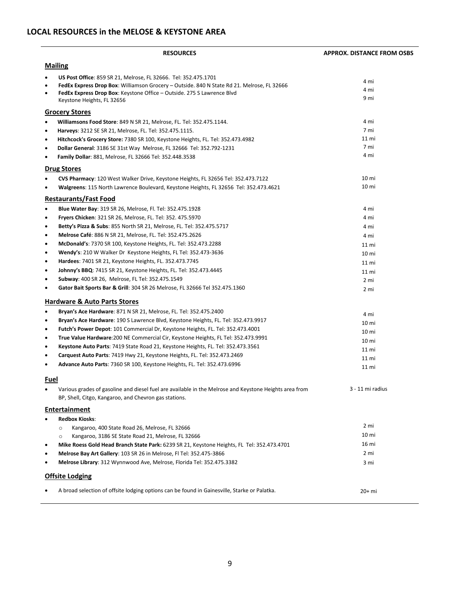# **LOCAL RESOURCES in the MELOSE & KEYSTONE AREA**

|                                     | <b>RESOURCES</b>                                                                                                                                                                                                                                                      | <b>APPROX. DISTANCE FROM OSBS</b> |
|-------------------------------------|-----------------------------------------------------------------------------------------------------------------------------------------------------------------------------------------------------------------------------------------------------------------------|-----------------------------------|
|                                     | <b>Mailing</b>                                                                                                                                                                                                                                                        |                                   |
| $\bullet$<br>$\bullet$<br>$\bullet$ | US Post Office: 859 SR 21, Melrose, FL 32666. Tel: 352.475.1701<br>FedEx Express Drop Box: Williamson Grocery - Outside. 840 N State Rd 21. Melrose, FL 32666<br>FedEx Express Drop Box: Keystone Office - Outside. 275 S Lawrence Blvd<br>Keystone Heights, FL 32656 | 4 mi<br>4 mi<br>9 mi              |
|                                     | <b>Grocery Stores</b>                                                                                                                                                                                                                                                 |                                   |
| $\bullet$                           | Williamsons Food Store: 849 N SR 21, Melrose, FL. Tel: 352.475.1144.                                                                                                                                                                                                  | 4 mi                              |
| $\bullet$                           | Harveys: 3212 SE SR 21, Melrose, FL. Tel: 352.475.1115.                                                                                                                                                                                                               | 7 mi                              |
| $\bullet$                           | Hitchcock's Grocery Store: 7380 SR 100, Keystone Heights, FL. Tel: 352.473.4982                                                                                                                                                                                       | 11 <sub>mi</sub>                  |
| ٠                                   | <b>Dollar General: 3186 SE 31st Way Melrose, FL 32666 Tel: 352.792-1231</b>                                                                                                                                                                                           | 7 mi                              |
|                                     | <b>Family Dollar: 881, Melrose, FL 32666 Tel: 352.448.3538</b>                                                                                                                                                                                                        | 4 mi                              |
|                                     | <b>Drug Stores</b>                                                                                                                                                                                                                                                    |                                   |
|                                     | CVS Pharmacy: 120 West Walker Drive, Keystone Heights, FL 32656 Tel: 352.473.7122                                                                                                                                                                                     | 10 <sub>mi</sub>                  |
|                                     | Walgreens: 115 North Lawrence Boulevard, Keystone Heights, FL 32656 Tel: 352.473.4621                                                                                                                                                                                 | 10 <sub>mi</sub>                  |
|                                     | <b>Restaurants/Fast Food</b>                                                                                                                                                                                                                                          |                                   |
| $\bullet$                           | <b>Blue Water Bay: 319 SR 26, Melrose, Fl. Tel: 352.475.1928</b>                                                                                                                                                                                                      | 4 mi                              |
| $\bullet$                           | Fryers Chicken: 321 SR 26, Melrose, FL. Tel: 352. 475.5970                                                                                                                                                                                                            | 4 mi                              |
| $\bullet$                           | Betty's Pizza & Subs: 855 North SR 21, Melrose, FL. Tel: 352.475.5717                                                                                                                                                                                                 | 4 mi                              |
| $\bullet$                           | Melrose Café: 886 N SR 21, Melrose, FL. Tel: 352.475.2626                                                                                                                                                                                                             | 4 mi                              |
| $\bullet$                           | McDonald's: 7370 SR 100, Keystone Heights, FL. Tel: 352.473.2288                                                                                                                                                                                                      | 11 <sub>mi</sub>                  |
| $\bullet$                           | Wendy's: 210 W Walker Dr Keystone Heights, FL Tel: 352.473-3636                                                                                                                                                                                                       | 10 <sub>mi</sub>                  |
| $\bullet$                           | Hardees: 7401 SR 21, Keystone Heights, FL. 352.473.7745                                                                                                                                                                                                               | 11 <sub>mi</sub>                  |
| $\bullet$                           | <b>Johnny's BBQ</b> : 7415 SR 21, Keystone Heights, FL. Tel: 352.473.4445                                                                                                                                                                                             | 11 <sub>mi</sub>                  |
| $\bullet$                           | Subway: 400 SR 26, Melrose, FL Tel: 352.475.1549                                                                                                                                                                                                                      | 2 mi                              |
|                                     | Gator Bait Sports Bar & Grill: 304 SR 26 Melrose, FL 32666 Tel 352.475.1360                                                                                                                                                                                           | 2 mi                              |
|                                     | <b>Hardware &amp; Auto Parts Stores</b>                                                                                                                                                                                                                               |                                   |
| $\bullet$                           | Bryan's Ace Hardware: 871 N SR 21, Melrose, FL. Tel: 352.475.2400                                                                                                                                                                                                     | 4 mi                              |
| $\bullet$                           | Bryan's Ace Hardware: 190 S Lawrence Blvd, Keystone Heights, FL. Tel: 352.473.9917                                                                                                                                                                                    | 10 <sub>mi</sub>                  |
| $\bullet$                           | Futch's Power Depot: 101 Commercial Dr, Keystone Heights, FL. Tel: 352.473.4001                                                                                                                                                                                       | 10 <sub>mi</sub>                  |
| $\bullet$                           | True Value Hardware: 200 NE Commercial Cir, Keystone Heights, FL Tel: 352.473.9991                                                                                                                                                                                    | 10 <sub>mi</sub>                  |
| ٠                                   | Keystone Auto Parts: 7419 State Road 21, Keystone Heights, FL. Tel: 352.473.3561                                                                                                                                                                                      | 11 mi                             |
| $\bullet$                           | Carquest Auto Parts: 7419 Hwy 21, Keystone Heights, FL. Tel: 352.473.2469                                                                                                                                                                                             | 11 mi                             |
| $\bullet$                           | Advance Auto Parts: 7360 SR 100, Keystone Heights, FL. Tel: 352.473.6996                                                                                                                                                                                              | 11 mi                             |
| Fuel                                |                                                                                                                                                                                                                                                                       |                                   |
| ٠                                   | Various grades of gasoline and diesel fuel are available in the Melrose and Keystone Heights area from<br>BP, Shell, Citgo, Kangaroo, and Chevron gas stations.                                                                                                       | 3 - 11 mi radius                  |
|                                     | <b>Entertainment</b>                                                                                                                                                                                                                                                  |                                   |
|                                     | <b>Redbox Kiosks:</b>                                                                                                                                                                                                                                                 |                                   |
|                                     | Kangaroo, 400 State Road 26, Melrose, FL 32666<br>$\circ$                                                                                                                                                                                                             | 2 mi                              |
|                                     | Kangaroo, 3186 SE State Road 21, Melrose, FL 32666<br>$\circ$                                                                                                                                                                                                         | 10 <sub>mi</sub>                  |
| $\bullet$                           | Mike Roess Gold Head Branch State Park: 6239 SR 21, Keystone Heights, FL Tel: 352.473.4701                                                                                                                                                                            | 16 mi                             |
|                                     | Melrose Bay Art Gallery: 103 SR 26 in Melrose, FI Tel: 352.475-3866                                                                                                                                                                                                   | 2 mi                              |
|                                     | Melrose Library: 312 Wynnwood Ave, Melrose, Florida Tel: 352.475.3382                                                                                                                                                                                                 | 3 mi                              |
|                                     | <b>Offsite Lodging</b>                                                                                                                                                                                                                                                |                                   |
|                                     | A broad selection of offsite lodging options can be found in Gainesville, Starke or Palatka.                                                                                                                                                                          | 20+ mi                            |
|                                     |                                                                                                                                                                                                                                                                       |                                   |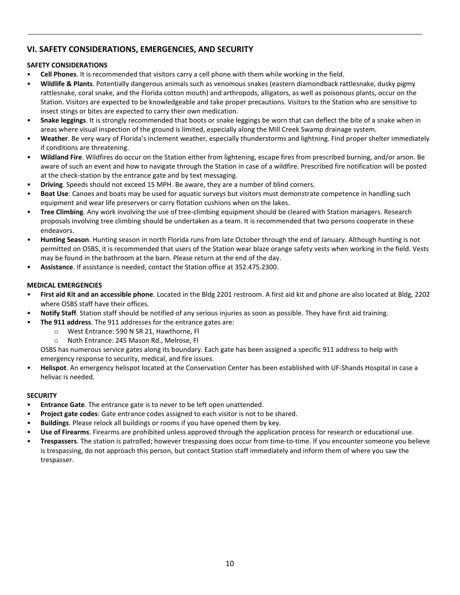# **VI. SAFETY CONSIDERATIONS, EMERGENCIES, AND SECURITY**

# **SAFETY CONSIDERATIONS**

- **Cell Phones**. It is recommended that visitors carry a cell phone with them while working in the field.
- **Wildlife & Plants**. Potentially dangerous animals such as venomous snakes (eastern diamondback rattlesnake, dusky pigmy rattlesnake, coral snake, and the Florida cotton mouth) and arthropods, alligators, as well as poisonous plants, occur on the Station. Visitors are expected to be knowledgeable and take proper precautions. Visitors to the Station who are sensitive to insect stings or bites are expected to carry their own medication.
- **Snake leggings**. It is strongly recommended that boots or snake leggings be worn that can deflect the bite of a snake when in areas where visual inspection of the ground is limited, especially along the Mill Creek Swamp drainage system.
- **Weather**. Be very wary of Florida's inclement weather, especially thunderstorms and lightning. Find proper shelter immediately if conditions are threatening.
- **Wildland Fire**. Wildfires do occur on the Station either from lightening, escape fires from prescribed burning, and/or arson. Be aware of such an event and how to navigate through the Station in case of a wildfire. Prescribed fire notification will be posted at the check-station by the entrance gate and by text messaging.
- **Driving**. Speeds should not exceed 15 MPH. Be aware, they are a number of blind corners.
- **Boat Use**: Canoes and boats may be used for aquatic surveys but visitors must demonstrate competence in handling such equipment and wear life preservers or carry flotation cushions when on the lakes.
- **Tree Climbing**. Any work involving the use of tree-climbing equipment should be cleared with Station managers. Research proposals involving tree climbing should be undertaken as a team. It is recommended that two persons cooperate in these endeavors.
- **Hunting Season**. Hunting season in north Florida runs from late October through the end of January. Although hunting is not permitted on OSBS, it is recommended that users of the Station wear blaze orange safety vests when working in the field. Vests may be found in the bathroom at the barn. Please return at the end of the day.
- **Assistance**. If assistance is needed, contact the Station office at 352.475.2300.

# **MEDICAL EMERGENCIES**

- **First aid Kit and an accessible phone**. Located in the Bldg 2201 restroom. A first aid kit and phone are also located at Bldg, 2202 where OSBS staff have their offices.
- **Notify Staff**. Station staff should be notified of any serious injuries as soon as possible. They have first aid training.
	- **The 911 address**. The 911 addresses for the entrance gates are:
- o West Entrance: 590 N SR 21, Hawthorne, Fl
	- o Noth Entrance: 245 Mason Rd., Melrose, Fl

OSBS has numerous service gates along its boundary. Each gate has been assigned a specific 911 address to help with emergency response to security, medical, and fire issues.

• **Helispot**. An emergency helispot located at the Conservation Center has been established with UF-Shands Hospital in case a helivac is needed.

# **SECURITY**

- **Entrance Gate**. The entrance gate is to never to be left open unattended.
- **Project gate codes**: Gate entrance codes assigned to each visitor is not to be shared.
- **Buildings**. Please relock all buildings or rooms if you have opened them by key.
- **Use of Firearms**. Firearms are prohibited unless approved through the application process for research or educational use.
- **Trespassers**. The station is patrolled; however trespassing does occur from time-to-time. If you encounter someone you believe is trespassing, do not approach this person, but contact Station staff immediately and inform them of where you saw the trespasser.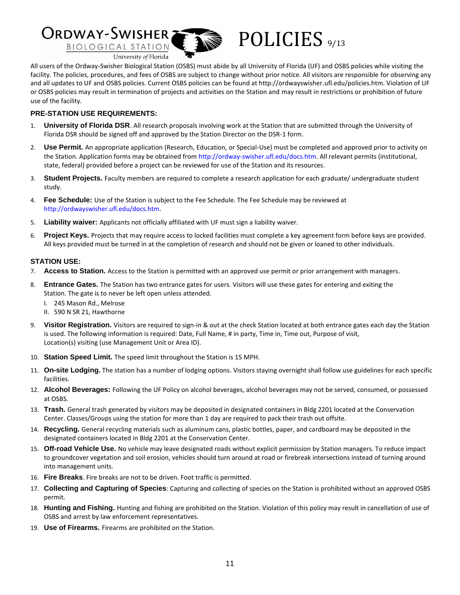

All users of the Ordway-Swisher Biological Station (OSBS) must abide by all University of Florida (UF) and OSBS policies while visiting the facility. The policies, procedures, and fees of OSBS are subject to change without prior notice. All visitors are responsible for observing any and all updates to UF and OSBS policies. Current OSBS policies can be found at http://ordwayswisher.ufl.edu/policies.htm. Violation of UF or OSBS policies may result in termination of projects and activities on the Station and may result in restrictions or prohibition of future use of the facility.

# **PRE-STATION USE REQUIREMENTS:**

- 1. **University of Florida DSR**. All research proposals involving work at the Station that are submitted through the University of Florida DSR should be signed off and approved by the Station Director on the DSR-1 form.
- 2. **Use Permit.** An appropriate application (Research, Education, or Special-Use) must be completed and approved prior to activity on the Station. Application forms may be obtained from http://ordway-swisher.ufl.edu/docs.htm. All relevant permits (institutional, state, federal) provided before a project can be reviewed for use of the Station and its resources.
- 3. **Student Projects.** Faculty members are required to complete a research application for each graduate/ undergraduate student study.
- 4. **Fee Schedule:** Use of the Station is subject to the Fee Schedule. The Fee Schedule may be reviewed at http://ordwayswisher.ufl.edu/docs.htm.
- 5. **Liability waiver:** Applicants not officially affiliated with UF must sign a liability waiver.
- 6. **Project Keys.** Projects that may require access to locked facilities must complete a key agreement form before keys are provided. All keys provided must be turned in at the completion of research and should not be given or loaned to other individuals.

# **STATION USE:**

- 7. **Access to Station.** Access to the Station is permitted with an approved use permit or prior arrangement with managers.
- 8. **Entrance Gates.** The Station has two entrance gates for users. Visitors will use these gates for entering and exiting the Station. The gate is to never be left open unless attended.
	- I. 245 Mason Rd., Melrose
	- II. 590 N SR 21, Hawthorne
- 9. **Visitor Registration.** Visitors are required to sign-in & out at the check Station located at both entrance gates each day the Station is used. The following information is required: Date, Full Name, # in party, Time in, Time out, Purpose of visit, Location(s) visiting (use Management Unit or Area ID).
- 10. **Station Speed Limit.** The speed limit throughout the Station is 15 MPH.
- 11. **On-site Lodging.** The station has a number of lodging options. Visitors staying overnight shall follow use guidelines for each specific facilities.
- 12. **Alcohol Beverages:** Following the UF Policy on alcohol beverages, alcohol beverages may not be served, consumed, or possessed at OSBS.
- 13. **Trash.** General trash generated by visitors may be deposited in designated containers in Bldg 2201 located at the Conservation Center. Classes/Groups using the station for more than 1 day are required to pack their trash out offsite.
- 14. **Recycling.** General recycling materials such as aluminum cans, plastic bottles, paper, and cardboard may be deposited in the designated containers located in Bldg 2201 at the Conservation Center.
- 15. **Off-road Vehicle Use.** No vehicle may leave designated roads without explicit permission by Station managers. To reduce impact to groundcover vegetation and soil erosion, vehicles should turn around at road or firebreak intersections instead of turning around into management units.
- 16. **Fire Breaks**. Fire breaks are not to be driven. Foot traffic is permitted.
- 17. **Collecting and Capturing of Species**: Capturing and collecting of species on the Station is prohibited without an approved OSBS permit.
- 18. **Hunting and Fishing.** Hunting and fishing are prohibited on the Station. Violation of this policy may result in cancellation of use of OSBS and arrest by law enforcement representatives.
- 19. **Use of Firearms.** Firearms are prohibited on the Station.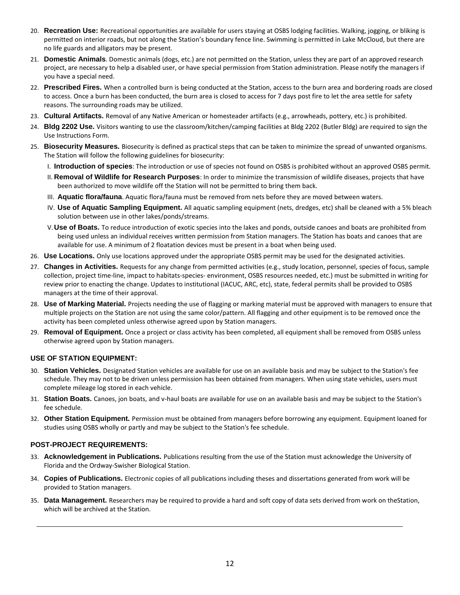- 20. **Recreation Use:** Recreational opportunities are available for users staying at OSBS lodging facilities. Walking, jogging, or bliking is permitted on interior roads, but not along the Station's boundary fence line. Swimming is permitted in Lake McCloud, but there are no life guards and alligators may be present.
- 21. **Domestic Animals**. Domestic animals (dogs, etc.) are not permitted on the Station, unless they are part of an approved research project, are necessary to help a disabled user, or have special permission from Station administration. Please notify the managers if you have a special need.
- 22. **Prescribed Fires.** When a controlled burn is being conducted at the Station, access to the burn area and bordering roads are closed to access. Once a burn has been conducted, the burn area is closed to access for 7 days post fire to let the area settle for safety reasons. The surrounding roads may be utilized.
- 23. **Cultural Artifacts.** Removal of any Native American or homesteader artifacts (e.g., arrowheads, pottery, etc.) is prohibited.
- 24. **Bldg 2202 Use.** Visitors wanting to use the classroom/kitchen/camping facilities at Bldg 2202 (Butler Bldg) are required to sign the Use Instructions Form.
- 25. **Biosecurity Measures.** Biosecurity is defined as practical steps that can be taken to minimize the spread of unwanted organisms. The Station will follow the following guidelines for biosecurity:
	- I. **Introduction of species**: The introduction or use of species not found on OSBS is prohibited without an approved OSBS permit.
	- II. **Removal of Wildlife for Research Purposes**: In order to minimize the transmission of wildlife diseases, projects that have been authorized to move wildlife off the Station will not be permitted to bring them back.
	- III. **Aquatic flora/fauna**. Aquatic flora/fauna must be removed from nets before they are moved between waters.
	- IV. **Use of Aquatic Sampling Equipment.** All aquatic sampling equipment (nets, dredges, etc) shall be cleaned with a 5% bleach solution between use in other lakes/ponds/streams.
	- V.**Use of Boats.** To reduce introduction of exotic species into the lakes and ponds, outside canoes and boats are prohibited from being used unless an individual receives written permission from Station managers. The Station has boats and canoes that are available for use. A minimum of 2 floatation devices must be present in a boat when being used.
- 26. **Use Locations.** Only use locations approved under the appropriate OSBS permit may be used for the designated activities.
- 27. **Changes in Activities.** Requests for any change from permitted activities (e.g., study location, personnel, species of focus, sample collection, project time-line, impact to habitats-species- environment, OSBS resources needed, etc.) must be submitted in writing for review prior to enacting the change. Updates to institutional (IACUC, ARC, etc), state, federal permits shall be provided to OSBS managers at the time of their approval.
- 28. **Use of Marking Material.** Projects needing the use of flagging or marking material must be approved with managers to ensure that multiple projects on the Station are not using the same color/pattern. All flagging and other equipment is to be removed once the activity has been completed unless otherwise agreed upon by Station managers.
- 29. **Removal of Equipment.** Once a project or class activity has been completed, all equipment shall be removed from OSBS unless otherwise agreed upon by Station managers.

# **USE OF STATION EQUIPMENT:**

- 30. **Station Vehicles.** Designated Station vehicles are available for use on an available basis and may be subject to the Station's fee schedule. They may not to be driven unless permission has been obtained from managers. When using state vehicles, users must complete mileage log stored in each vehicle.
- 31. **Station Boats.** Canoes, jon boats, and v-haul boats are available for use on an available basis and may be subject to the Station's fee schedule.
- 32. **Other Station Equipment.** Permission must be obtained from managers before borrowing any equipment. Equipment loaned for studies using OSBS wholly or partly and may be subject to the Station's fee schedule.

# **POST-PROJECT REQUIREMENTS:**

- 33. **Acknowledgement in Publications.** Publications resulting from the use of the Station must acknowledge the University of Florida and the Ordway-Swisher Biological Station.
- 34. **Copies of Publications.** Electronic copies of all publications including theses and dissertations generated from work will be provided to Station managers.
- 35. **Data Management.** Researchers may be required to provide a hard and soft copy of data sets derived from work on theStation, which will be archived at the Station.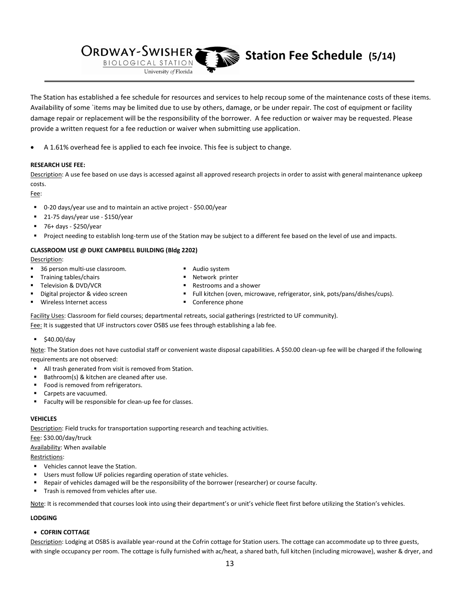**Station Fee Schedule** (5/14)

The Station has established a fee schedule for resources and services to help recoup some of the maintenance costs of these items. Availability of some `items may be limited due to use by others, damage, or be under repair. The cost of equipment or facility damage repair or replacement will be the responsibility of the borrower. A fee reduction or waiver may be requested. Please provide a written request for a fee reduction or waiver when submitting use application.

A 1.61% overhead fee is applied to each fee invoice. This fee is subject to change.

Iniversity of Florida

### **RESEARCH USE FEE:**

Description: A use fee based on use days is accessed against all approved research projects in order to assist with general maintenance upkeep costs.

Fee:

0-20 days/year use and to maintain an active project - \$50.00/year

**ORDWAY-SWISHER** 

BIOLOGICAL STATION

21-75 days/year use - \$150/year

**36 person multi-use classroom.** 

- 76+ days \$250/year
- Project needing to establish long-term use of the Station may be subject to a different fee based on the level of use and impacts.

### **CLASSROOM USE @ DUKE CAMPBELL BUILDING (Bldg 2202)**

Description:

- Audio system
- Training tables/chairs
- Network printer
- Television & DVD/VCR Digital projector & video screen
- Restrooms and a shower
- Full kitchen (oven, microwave, refrigerator, sink, pots/pans/dishes/cups).

Wireless Internet access

**•** Conference phone

Facility Uses: Classroom for field courses; departmental retreats, social gatherings (restricted to UF community). Fee: It is suggested that UF instructors cover OSBS use fees through establishing a lab fee.

 $\frac{1}{2}$  \$40.00/day

Note: The Station does not have custodial staff or convenient waste disposal capabilities. A \$50.00 clean-up fee will be charged if the following requirements are not observed:

- **All trash generated from visit is removed from Station.**
- Bathroom(s) & kitchen are cleaned after use.
- Food is removed from refrigerators.
- Carpets are vacuumed.
- Faculty will be responsible for clean-up fee for classes.

#### **VEHICLES**

Description: Field trucks for transportation supporting research and teaching activities.

Fee: \$30.00/day/truck

Availability: When available

Restrictions:

- Vehicles cannot leave the Station.
- Users must follow UF policies regarding operation of state vehicles.
- Repair of vehicles damaged will be the responsibility of the borrower (researcher) or course faculty.
- Trash is removed from vehicles after use.

Note: It is recommended that courses look into using their department's or unit's vehicle fleet first before utilizing the Station's vehicles.

#### **LODGING**

### **COFRIN COTTAGE**

Description: Lodging at OSBS is available year-round at the Cofrin cottage for Station users. The cottage can accommodate up to three guests, with single occupancy per room. The cottage is fully furnished with ac/heat, a shared bath, full kitchen (including microwave), washer & dryer, and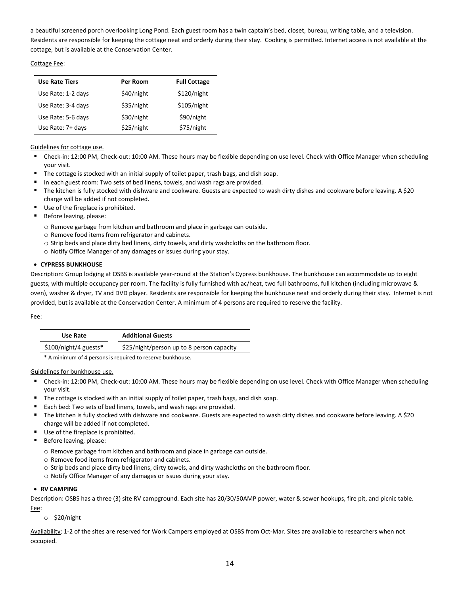a beautiful screened porch overlooking Long Pond. Each guest room has a twin captain's bed, closet, bureau, writing table, and a television. Residents are responsible for keeping the cottage neat and orderly during their stay. Cooking is permitted. Internet access is not available at the cottage, but is available at the Conservation Center.

### Cottage Fee:

| <b>Use Rate Tiers</b> | Per Room   | <b>Full Cottage</b> |
|-----------------------|------------|---------------------|
| Use Rate: 1-2 days    | \$40/night | \$120/night         |
| Use Rate: 3-4 days    | \$35/night | \$105/night         |
| Use Rate: 5-6 days    | \$30/night | \$90/night          |
| Use Rate: 7+ days     | \$25/night | \$75/night          |

## Guidelines for cottage use.

- Check-in: 12:00 PM, Check-out: 10:00 AM. These hours may be flexible depending on use level. Check with Office Manager when scheduling your visit.
- The cottage is stocked with an initial supply of toilet paper, trash bags, and dish soap.
- In each guest room: Two sets of bed linens, towels, and wash rags are provided.
- The kitchen is fully stocked with dishware and cookware. Guests are expected to wash dirty dishes and cookware before leaving. A \$20 charge will be added if not completed.
- Use of the fireplace is prohibited.
- Before leaving, please:
	- o Remove garbage from kitchen and bathroom and place in garbage can outside.
	- o Remove food items from refrigerator and cabinets.
	- o Strip beds and place dirty bed linens, dirty towels, and dirty washcloths on the bathroom floor.
	- o Notify Office Manager of any damages or issues during your stay.

#### **CYPRESS BUNKHOUSE**

Description: Group lodging at OSBS is available year-round at the Station's Cypress bunkhouse. The bunkhouse can accommodate up to eight guests, with multiple occupancy per room. The facility is fully furnished with ac/heat, two full bathrooms, full kitchen (including microwave & oven), washer & dryer, TV and DVD player. Residents are responsible for keeping the bunkhouse neat and orderly during their stay. Internet is not provided, but is available at the Conservation Center. A minimum of 4 persons are required to reserve the facility.

#### Fee:

| Use Rate               | <b>Additional Guests</b>                  |
|------------------------|-------------------------------------------|
| $$100/night/4$ guests* | \$25/night/person up to 8 person capacity |

\* A minimum of 4 persons is required to reserve bunkhouse.

## Guidelines for bunkhouse use.

- Check-in: 12:00 PM, Check-out: 10:00 AM. These hours may be flexible depending on use level. Check with Office Manager when scheduling your visit.
- The cottage is stocked with an initial supply of toilet paper, trash bags, and dish soap.
- Each bed: Two sets of bed linens, towels, and wash rags are provided.
- The kitchen is fully stocked with dishware and cookware. Guests are expected to wash dirty dishes and cookware before leaving. A \$20 charge will be added if not completed.
- Use of the fireplace is prohibited.
- Before leaving, please:
	- o Remove garbage from kitchen and bathroom and place in garbage can outside.
	- o Remove food items from refrigerator and cabinets.
	- o Strip beds and place dirty bed linens, dirty towels, and dirty washcloths on the bathroom floor.
	- o Notify Office Manager of any damages or issues during your stay.

#### **RV CAMPING**

Description: OSBS has a three (3) site RV campground. Each site has 20/30/50AMP power, water & sewer hookups, fire pit, and picnic table. Fee:

o \$20/night

Availability: 1-2 of the sites are reserved for Work Campers employed at OSBS from Oct-Mar. Sites are available to researchers when not occupied.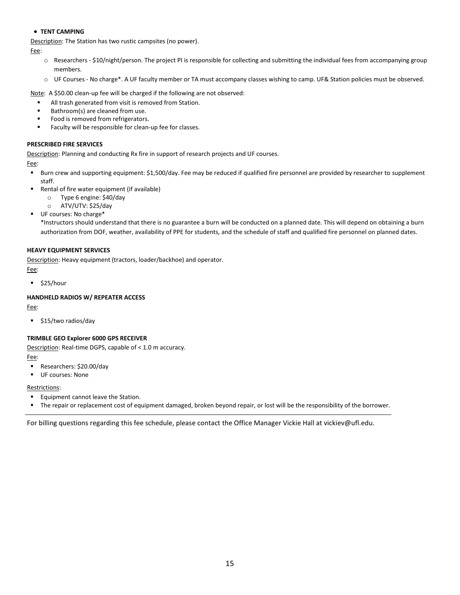## **TENT CAMPING**

Description: The Station has two rustic campsites (no power).

Fee:

- o Researchers \$10/night/person. The project PI is responsible for collecting and submitting the individual fees from accompanying group members.
- o UF Courses No charge\*. A UF faculty member or TA must accompany classes wishing to camp. UF& Station policies must be observed.

Note: A \$50.00 clean-up fee will be charged if the following are not observed:

- All trash generated from visit is removed from Station.
- Bathroom(s) are cleaned from use.
- Food is removed from refrigerators.
- **Faculty will be responsible for clean-up fee for classes.**

#### **PRESCRIBED FIRE SERVICES**

Description: Planning and conducting Rx fire in support of research projects and UF courses.

Fee:

- Burn crew and supporting equipment: \$1,500/day. Fee may be reduced if qualified fire personnel are provided by researcher to supplement staff.
- Rental of fire water equipment (if available)
	- o Type 6 engine: \$40/day
	- o ATV/UTV: \$25/day
- UF courses: No charge\*

\*Instructors should understand that there is no guarantee a burn will be conducted on a planned date. This will depend on obtaining a burn authorization from DOF, weather, availability of PPE for students, and the schedule of staff and qualified fire personnel on planned dates.

### **HEAVY EQUIPMENT SERVICES**

Description: Heavy equipment (tractors, loader/backhoe) and operator.

Fee:

 $\overline{\phantom{a}}$ \$25/hour

### **HANDHELD RADIOS W/ REPEATER ACCESS**

Fee:

**515/two radios/day** 

### **TRIMBLE GEO Explorer 6000 GPS RECEIVER**

Description: Real-time DGPS, capable of < 1.0 m accuracy.

Fee:

- Researchers: \$20.00/day
- **UF courses: None**

#### Restrictions:

- **Equipment cannot leave the Station.**
- The repair or replacement cost of equipment damaged, broken beyond repair, or lost will be the responsibility of the borrower.

For billing questions regarding this fee schedule, please contact the Office Manager Vickie Hall at vickiev@ufl.edu.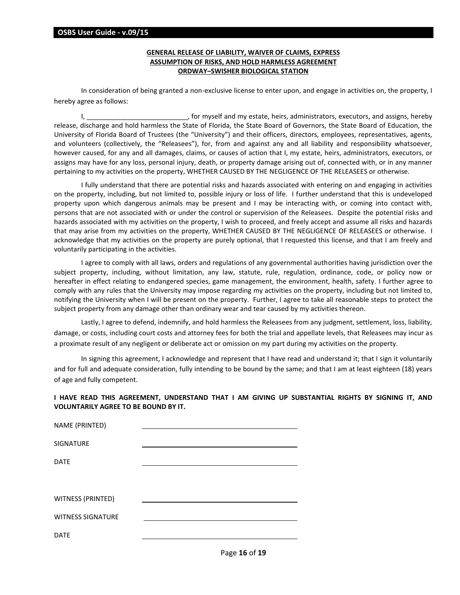#### **OSBS User Guide - v.09/15**

# **GENERAL RELEASE OF LIABILITY, WAIVER OF CLAIMS, EXPRESS ASSUMPTION OF RISKS, AND HOLD HARMLESS AGREEMENT ORDWAY–SWISHER BIOLOGICAL STATION**

In consideration of being granted a non-exclusive license to enter upon, and engage in activities on, the property, I hereby agree as follows:

I, \_\_\_\_\_\_\_\_\_\_\_\_\_\_\_\_\_\_\_\_\_\_\_\_\_\_\_\_\_\_\_, for myself and my estate, heirs, administrators, executors, and assigns, hereby release, discharge and hold harmless the State of Florida, the State Board of Governors, the State Board of Education, the University of Florida Board of Trustees (the "University") and their officers, directors, employees, representatives, agents, and volunteers (collectively, the "Releasees"), for, from and against any and all liability and responsibility whatsoever, however caused, for any and all damages, claims, or causes of action that I, my estate, heirs, administrators, executors, or assigns may have for any loss, personal injury, death, or property damage arising out of, connected with, or in any manner pertaining to my activities on the property, WHETHER CAUSED BY THE NEGLIGENCE OF THE RELEASEES or otherwise.

I fully understand that there are potential risks and hazards associated with entering on and engaging in activities on the property, including, but not limited to, possible injury or loss of life. I further understand that this is undeveloped property upon which dangerous animals may be present and I may be interacting with, or coming into contact with, persons that are not associated with or under the control or supervision of the Releasees. Despite the potential risks and hazards associated with my activities on the property, I wish to proceed, and freely accept and assume all risks and hazards that may arise from my activities on the property, WHETHER CAUSED BY THE NEGLIGENCE OF RELEASEES or otherwise. I acknowledge that my activities on the property are purely optional, that I requested this license, and that I am freely and voluntarily participating in the activities.

I agree to comply with all laws, orders and regulations of any governmental authorities having jurisdiction over the subject property, including, without limitation, any law, statute, rule, regulation, ordinance, code, or policy now or hereafter in effect relating to endangered species, game management, the environment, health, safety. I further agree to comply with any rules that the University may impose regarding my activities on the property, including but not limited to, notifying the University when I will be present on the property. Further, I agree to take all reasonable steps to protect the subject property from any damage other than ordinary wear and tear caused by my activities thereon.

Lastly, I agree to defend, indemnify, and hold harmless the Releasees from any judgment, settlement, loss, liability, damage, or costs, including court costs and attorney fees for both the trial and appellate levels, that Releasees may incur as a proximate result of any negligent or deliberate act or omission on my part during my activities on the property.

In signing this agreement, I acknowledge and represent that I have read and understand it; that I sign it voluntarily and for full and adequate consideration, fully intending to be bound by the same; and that I am at least eighteen (18) years of age and fully competent.

**I HAVE READ THIS AGREEMENT, UNDERSTAND THAT I AM GIVING UP SUBSTANTIAL RIGHTS BY SIGNING IT, AND VOLUNTARILY AGREE TO BE BOUND BY IT.**

| NAME (PRINTED)           |  |
|--------------------------|--|
|                          |  |
| SIGNATURE                |  |
|                          |  |
| <b>DATE</b>              |  |
|                          |  |
|                          |  |
|                          |  |
| WITNESS (PRINTED)        |  |
|                          |  |
| <b>WITNESS SIGNATURE</b> |  |
| <b>DATE</b>              |  |
|                          |  |